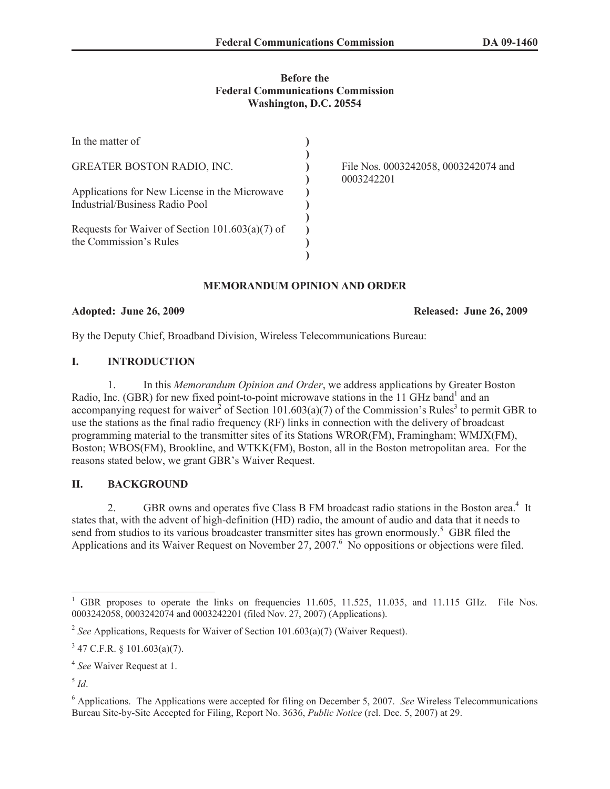## **Before the Federal Communications Commission Washington, D.C. 20554**

| In the matter of                                                                |                                                    |
|---------------------------------------------------------------------------------|----------------------------------------------------|
| <b>GREATER BOSTON RADIO, INC.</b>                                               | File Nos. 0003242058, 0003242074 and<br>0003242201 |
| Applications for New License in the Microwave<br>Industrial/Business Radio Pool |                                                    |
| Requests for Waiver of Section $101.603(a)(7)$ of<br>the Commission's Rules     |                                                    |

# **MEMORANDUM OPINION AND ORDER**

**Adopted: June 26, 2009 Released: June 26, 2009**

By the Deputy Chief, Broadband Division, Wireless Telecommunications Bureau:

# **I. INTRODUCTION**

1. In this *Memorandum Opinion and Order*, we address applications by Greater Boston Radio, Inc. (GBR) for new fixed point-to-point microwave stations in the 11 GHz band<sup>1</sup> and an accompanying request for waiver<sup>2</sup> of Section 101.603(a)(7) of the Commission's Rules<sup>3</sup> to permit GBR to use the stations as the final radio frequency (RF) links in connection with the delivery of broadcast programming material to the transmitter sites of its Stations WROR(FM), Framingham; WMJX(FM), Boston; WBOS(FM), Brookline, and WTKK(FM), Boston, all in the Boston metropolitan area. For the reasons stated below, we grant GBR's Waiver Request.

# **II. BACKGROUND**

2. GBR owns and operates five Class B FM broadcast radio stations in the Boston area.<sup>4</sup> It states that, with the advent of high-definition (HD) radio, the amount of audio and data that it needs to send from studios to its various broadcaster transmitter sites has grown enormously.<sup>5</sup> GBR filed the Applications and its Waiver Request on November 27, 2007.<sup>6</sup> No oppositions or objections were filed.

<sup>&</sup>lt;sup>1</sup> GBR proposes to operate the links on frequencies 11.605, 11.525, 11.035, and 11.115 GHz. File Nos. 0003242058, 0003242074 and 0003242201 (filed Nov. 27, 2007) (Applications).

<sup>&</sup>lt;sup>2</sup> See Applications, Requests for Waiver of Section 101.603(a)(7) (Waiver Request).

 $3$  47 C.F.R. § 101.603(a)(7).

<sup>4</sup> *See* Waiver Request at 1.

<sup>5</sup> *Id*.

<sup>6</sup> Applications. The Applications were accepted for filing on December 5, 2007. *See* Wireless Telecommunications Bureau Site-by-Site Accepted for Filing, Report No. 3636, *Public Notice* (rel. Dec. 5, 2007) at 29.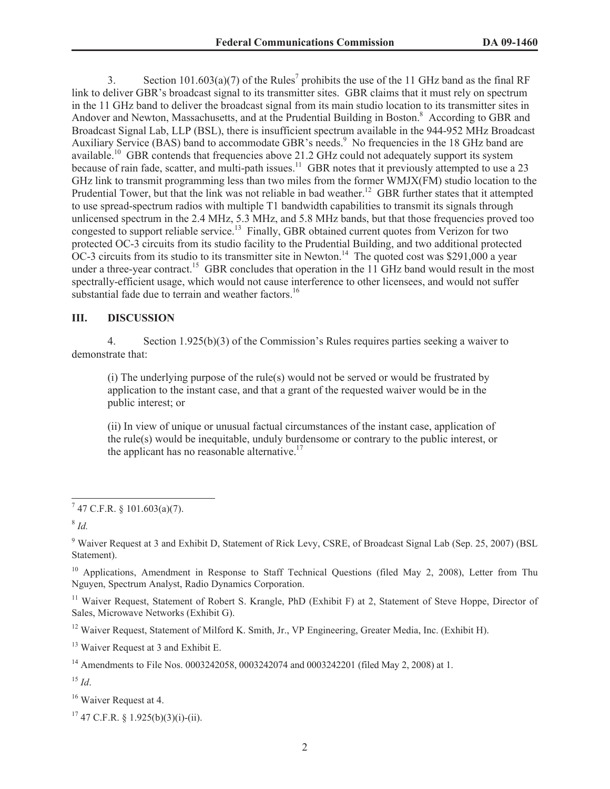3. Section 101.603(a)(7) of the Rules<sup>7</sup> prohibits the use of the 11 GHz band as the final RF link to deliver GBR's broadcast signal to its transmitter sites. GBR claims that it must rely on spectrum in the 11 GHz band to deliver the broadcast signal from its main studio location to its transmitter sites in Andover and Newton, Massachusetts, and at the Prudential Building in Boston.<sup>8</sup> According to GBR and Broadcast Signal Lab, LLP (BSL), there is insufficient spectrum available in the 944-952 MHz Broadcast Auxiliary Service (BAS) band to accommodate GBR's needs.<sup>9</sup> No frequencies in the 18 GHz band are available.<sup>10</sup> GBR contends that frequencies above 21.2 GHz could not adequately support its system because of rain fade, scatter, and multi-path issues.<sup>11</sup> GBR notes that it previously attempted to use a 23 GHz link to transmit programming less than two miles from the former WMJX(FM) studio location to the Prudential Tower, but that the link was not reliable in bad weather.<sup>12</sup> GBR further states that it attempted to use spread-spectrum radios with multiple T1 bandwidth capabilities to transmit its signals through unlicensed spectrum in the 2.4 MHz, 5.3 MHz, and 5.8 MHz bands, but that those frequencies proved too congested to support reliable service.<sup>13</sup> Finally, GBR obtained current quotes from Verizon for two protected OC-3 circuits from its studio facility to the Prudential Building, and two additional protected OC-3 circuits from its studio to its transmitter site in Newton.<sup>14</sup> The quoted cost was \$291,000 a year under a three-year contract.<sup>15</sup> GBR concludes that operation in the 11 GHz band would result in the most spectrally-efficient usage, which would not cause interference to other licensees, and would not suffer substantial fade due to terrain and weather factors.<sup>16</sup>

## **III. DISCUSSION**

4. Section 1.925(b)(3) of the Commission's Rules requires parties seeking a waiver to demonstrate that:

(i) The underlying purpose of the rule(s) would not be served or would be frustrated by application to the instant case, and that a grant of the requested waiver would be in the public interest; or

(ii) In view of unique or unusual factual circumstances of the instant case, application of the rule(s) would be inequitable, unduly burdensome or contrary to the public interest, or the applicant has no reasonable alternative. $17$ 

<sup>10</sup> Applications, Amendment in Response to Staff Technical Questions (filed May 2, 2008), Letter from Thu Nguyen, Spectrum Analyst, Radio Dynamics Corporation.

<sup>11</sup> Waiver Request, Statement of Robert S. Krangle, PhD (Exhibit F) at 2, Statement of Steve Hoppe, Director of Sales, Microwave Networks (Exhibit G).

<sup>12</sup> Waiver Request, Statement of Milford K. Smith, Jr., VP Engineering, Greater Media, Inc. (Exhibit H).

<sup>13</sup> Waiver Request at 3 and Exhibit E.

<sup>14</sup> Amendments to File Nos. 0003242058, 0003242074 and 0003242201 (filed May 2, 2008) at 1.

<sup>15</sup> *Id*.

<sup>16</sup> Waiver Request at 4.

 $7$  47 C.F.R. § 101.603(a)(7).

<sup>8</sup> *Id.*

<sup>9</sup> Waiver Request at 3 and Exhibit D, Statement of Rick Levy, CSRE, of Broadcast Signal Lab (Sep. 25, 2007) (BSL Statement).

 $17$  47 C.F.R. § 1.925(b)(3)(i)-(ii).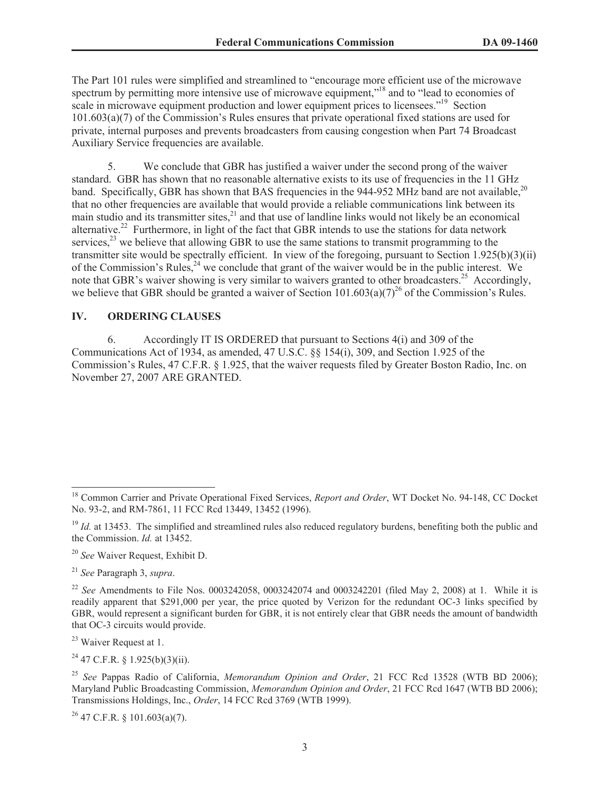The Part 101 rules were simplified and streamlined to "encourage more efficient use of the microwave spectrum by permitting more intensive use of microwave equipment,"<sup>18</sup> and to "lead to economies of scale in microwave equipment production and lower equipment prices to licensees."<sup>19</sup> Section 101.603(a)(7) of the Commission's Rules ensures that private operational fixed stations are used for private, internal purposes and prevents broadcasters from causing congestion when Part 74 Broadcast Auxiliary Service frequencies are available.

5. We conclude that GBR has justified a waiver under the second prong of the waiver standard. GBR has shown that no reasonable alternative exists to its use of frequencies in the 11 GHz band. Specifically, GBR has shown that BAS frequencies in the 944-952 MHz band are not available,<sup>20</sup> that no other frequencies are available that would provide a reliable communications link between its main studio and its transmitter sites, $^{21}$  and that use of landline links would not likely be an economical alternative.<sup>22</sup> Furthermore, in light of the fact that GBR intends to use the stations for data network services,  $^{23}$  we believe that allowing GBR to use the same stations to transmit programming to the transmitter site would be spectrally efficient. In view of the foregoing, pursuant to Section 1.925(b)(3)(ii) of the Commission's Rules,<sup>24</sup> we conclude that grant of the waiver would be in the public interest. We note that GBR's waiver showing is very similar to waivers granted to other broadcasters.<sup>25</sup> Accordingly, we believe that GBR should be granted a waiver of Section  $101.603(a)(7)^{26}$  of the Commission's Rules.

#### **IV. ORDERING CLAUSES**

6. Accordingly IT IS ORDERED that pursuant to Sections 4(i) and 309 of the Communications Act of 1934, as amended, 47 U.S.C. §§ 154(i), 309, and Section 1.925 of the Commission's Rules, 47 C.F.R. § 1.925, that the waiver requests filed by Greater Boston Radio, Inc. on November 27, 2007 ARE GRANTED.

<sup>20</sup> *See* Waiver Request, Exhibit D.

<sup>21</sup> *See* Paragraph 3, *supra*.

<sup>23</sup> Waiver Request at 1.

 $^{24}$  47 C.F.R. § 1.925(b)(3)(ii).

 $26$  47 C.F.R. § 101.603(a)(7).

<sup>&</sup>lt;sup>18</sup> Common Carrier and Private Operational Fixed Services, *Report and Order*, WT Docket No. 94-148, CC Docket No. 93-2, and RM-7861, 11 FCC Rcd 13449, 13452 (1996).

<sup>&</sup>lt;sup>19</sup> *Id.* at 13453. The simplified and streamlined rules also reduced regulatory burdens, benefiting both the public and the Commission. *Id.* at 13452.

<sup>&</sup>lt;sup>22</sup> *See* Amendments to File Nos. 0003242058, 0003242074 and 0003242201 (filed May 2, 2008) at 1. While it is readily apparent that \$291,000 per year, the price quoted by Verizon for the redundant OC-3 links specified by GBR, would represent a significant burden for GBR, it is not entirely clear that GBR needs the amount of bandwidth that OC-3 circuits would provide.

<sup>25</sup> *See* Pappas Radio of California, *Memorandum Opinion and Order*, 21 FCC Rcd 13528 (WTB BD 2006); Maryland Public Broadcasting Commission, *Memorandum Opinion and Order*, 21 FCC Rcd 1647 (WTB BD 2006); Transmissions Holdings, Inc., *Order*, 14 FCC Rcd 3769 (WTB 1999).